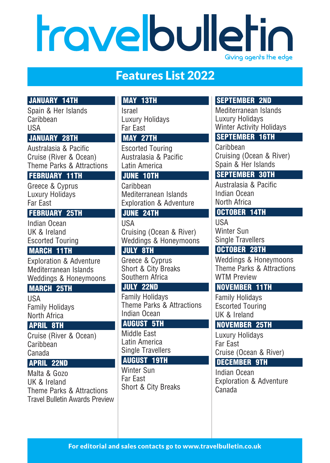# travelbulletin Giving agents the edge

# Features List 2022

# **JANUARY 14TH**

Spain & Her Islands Caribbean USA

#### **JANUARY 28TH**

Australasia & Pacific Cruise (River & Ocean) Theme Parks & Attractions

#### **FEBRUARY 11TH**

Greece & Cyprus Luxury Holidays Far East

# **FEBRUARY 25TH**

Indian Ocean UK & Ireland Escorted Touring

#### **MARCH 11TH**

Exploration & Adventure Mediterranean Islands Weddings & Honeymoons

# **MARCH 25TH**

USA Family Holidays North Africa

#### **APRIL 8TH**

Cruise (River & Ocean) Caribbean Canada

#### **APRIL 22ND**

Malta & Gozo UK & Ireland Theme Parks & Attractions Travel Bulletin Awards Preview

# **MAY 13TH**

Israel Luxury Holidays Far East

#### **MAY 27TH**

Escorted Touring Australasia & Pacific Latin America

#### **JUNE 10TH**

Caribbean Mediterranean Islands Exploration & Adventure

#### **JUNE 24TH**

USA Cruising (Ocean & River) Weddings & Honeymoons

#### **JULY 8TH**

Greece & Cyprus Short & City Breaks Southern Africa

#### **JULY 22ND**

Family Holidays Theme Parks & Attractions Indian Ocean

### **AUGUST 5TH**

Middle East Latin America Single Travellers

## **AUGUST 19TH**

Winter Sun Far East Short & City Breaks

# **SEPTEMBER 2ND**

Mediterranean Islands Luxury Holidays Winter Activity Holidays

# **SEPTEMBER 16TH**

Caribbean Cruising (Ocean & River) Spain & Her Islands

# **SEPTEMBER 30TH**

Australasia & Pacific Indian Ocean North Africa

# **OCTOBER 14TH**

**IISA** Winter Sun Single Travellers

# **OCTOBER 28TH**

Weddings & Honeymoons Theme Parks & Attractions WTM Preview

#### **NOVEMBER 11TH**

Family Holidays Escorted Touring UK & Ireland

#### **NOVEMBER 25TH**

Luxury Holidays Far East Cruise (Ocean & River)

# **DECEMBER 9TH**

Indian Ocean Exploration & Adventure Canada